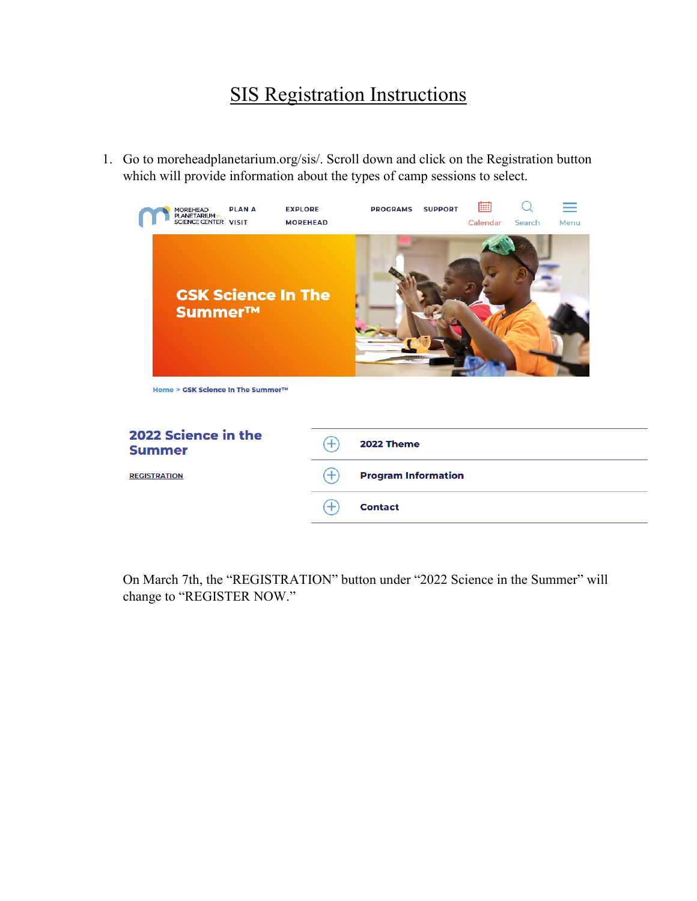## SIS Registration Instructions

1. Go to moreheadplanetarium.org/sis/. Scroll down and click on the Registration button which will provide information about the types of camp sessions to select.



On March 7th, the "REGISTRATION" button under "2022 Science in the Summer" will change to "REGISTER NOW."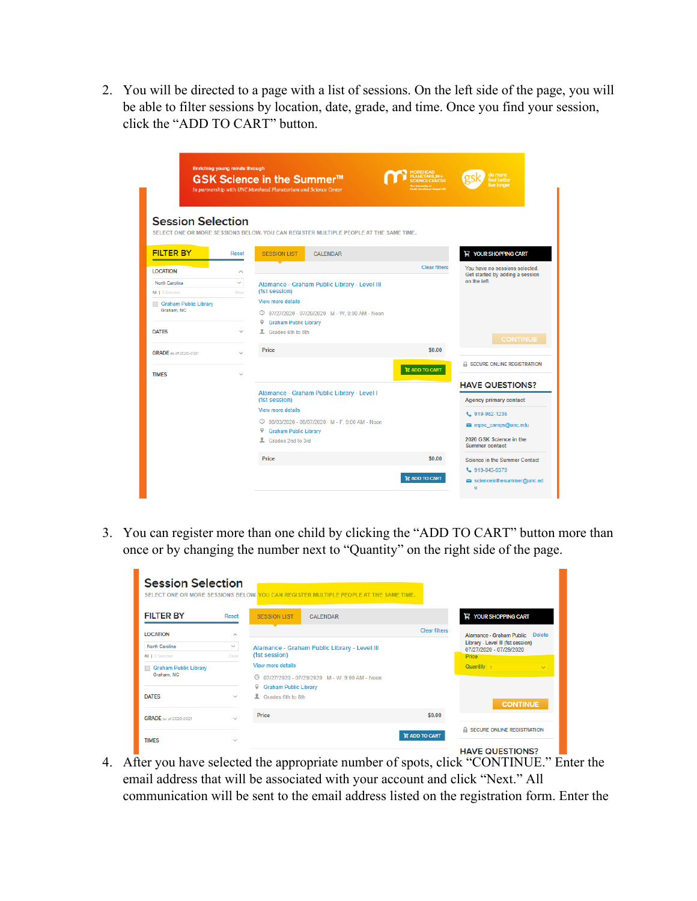2. You will be directed to a page with a list of sessions. On the left side of the page, you will be able to filter sessions by location, date, grade, and time. Once you find your session, click the "ADD TO CART" button.

| <b>Session Selection</b>            | <b>Enriching young minds through</b> | GSK Science in the Summer <sup>™</sup><br>In partnership with UNC Morehead Planetarium and Science Center | <b>MOREHEAD</b><br>PLANETARIUM+<br><b>CIENCE CENTER</b> | do more<br>feel better<br>ive longer                    |
|-------------------------------------|--------------------------------------|-----------------------------------------------------------------------------------------------------------|---------------------------------------------------------|---------------------------------------------------------|
|                                     |                                      | SELECT ONE OR MORE SESSIONS BELOW. YOU CAN REGISTER MULTIPLE PEOPLE AT THE SAME TIME.                     |                                                         |                                                         |
| <b>FILTER BY</b>                    | Reset                                | <b>SESSION LIST</b><br><b>CALENDAR</b>                                                                    |                                                         | <b>YOUR SHOPPING CART</b>                               |
| <b>LOCATION</b>                     | $\sim$                               |                                                                                                           | <b>Clear filters</b>                                    | You have no sessions selected.                          |
| North Carolina<br>All   0 Selected  | $\checkmark$<br>Clear                | Alamance - Graham Public Library - Level III<br>(1st session)                                             |                                                         | Get started by adding a session<br>on the left.         |
| Graham Public Library<br>Graham, NC |                                      | View more details<br>© 07/27/2020 - 07/29/2020 M - W, 9:00 AM - Noon<br>9<br><b>Graham Public Library</b> |                                                         |                                                         |
| <b>DATES</b>                        | $\ddot{\phantom{1}}$                 | ı<br>Grades 6th to 8th                                                                                    |                                                         | <b>CONTINUE</b>                                         |
| <b>GRADE</b> as of 2020-2021        |                                      | Price                                                                                                     | \$0.00                                                  |                                                         |
| <b>TIMES</b>                        |                                      |                                                                                                           | <b>H</b> ADD TO CART                                    | A SECURE ONLINE REGISTRATION                            |
|                                     |                                      | Alamance - Graham Public Library - Level I<br>(1st session)                                               |                                                         | <b>HAVE QUESTIONS?</b><br><b>Agency primary contact</b> |
|                                     |                                      | View more details                                                                                         |                                                         | $L$ , 919-962-1236                                      |
|                                     |                                      | © 08/03/2020 - 08/07/2020 M - F, 9:00 AM - Noon                                                           |                                                         | mpsc_camps@unc.edu                                      |
|                                     |                                      | Q<br><b>Graham Public Library</b><br>4 Grades 2nd to 3rd                                                  |                                                         | 2020 GSK Science in the<br><b>Summer contact</b>        |
|                                     |                                      | Price                                                                                                     | \$0.00                                                  | Science in the Summer Contact                           |
|                                     |                                      |                                                                                                           | <b>H</b> ADD TO CART                                    | L 919-843-9379<br>scienceinthesummer@unc.ed<br>u        |

3. You can register more than one child by clicking the "ADD TO CART" button more than once or by changing the number next to "Quantity" on the right side of the page.

| <b>Session Selection</b>                   |              | SELECT ONE OR MORE SESSIONS BELOW. YOU CAN REGISTER MULTIPLE PEOPLE AT THE SAME TIME. |                       |                                                              |
|--------------------------------------------|--------------|---------------------------------------------------------------------------------------|-----------------------|--------------------------------------------------------------|
| <b>FILTER BY</b>                           | Reset        | <b>SESSION LIST</b><br><b>CALENDAR</b>                                                |                       | <b>H</b> YOUR SHOPPING CART                                  |
| <b>LOCATION</b>                            | $\sim$       |                                                                                       | <b>Clear filters</b>  | Alamance - Graham Public Delete                              |
| North Carolina                             | $\checkmark$ | Alamance - Graham Public Library - Level III                                          |                       | Library - Level III (1st session)<br>07/27/2020 - 07/29/2020 |
| All   0 Selected                           | Clear        | (1st session)                                                                         |                       | Price                                                        |
| <b>Graham Public Library</b><br>Graham, NC |              | View more details<br>07/27/2020 - 07/29/2020 M - W, 9:00 AM - Noon<br>$^\circledR$    |                       | Quantity <sub>1</sub><br>$\sim$                              |
| <b>DATES</b>                               | $\checkmark$ | <b>9</b> Graham Public Library<br>& Grades 6th to 8th                                 |                       | <b>CONTINUE</b>                                              |
| <b>GRADE</b> as of 2020-2021               | $\checkmark$ | <b>Price</b>                                                                          | \$0.00                |                                                              |
| <b>TIMES</b>                               | $\checkmark$ |                                                                                       | <b>HE ADD TO CART</b> | A SECURE ONLINE REGISTRATION                                 |
|                                            |              |                                                                                       |                       | HAVE OLIESTIONS?                                             |

4. After you have selected the appropriate number of spots, click "CONTINUE." Enter the email address that will be associated with your account and click "Next." All communication will be sent to the email address listed on the registration form. Enter the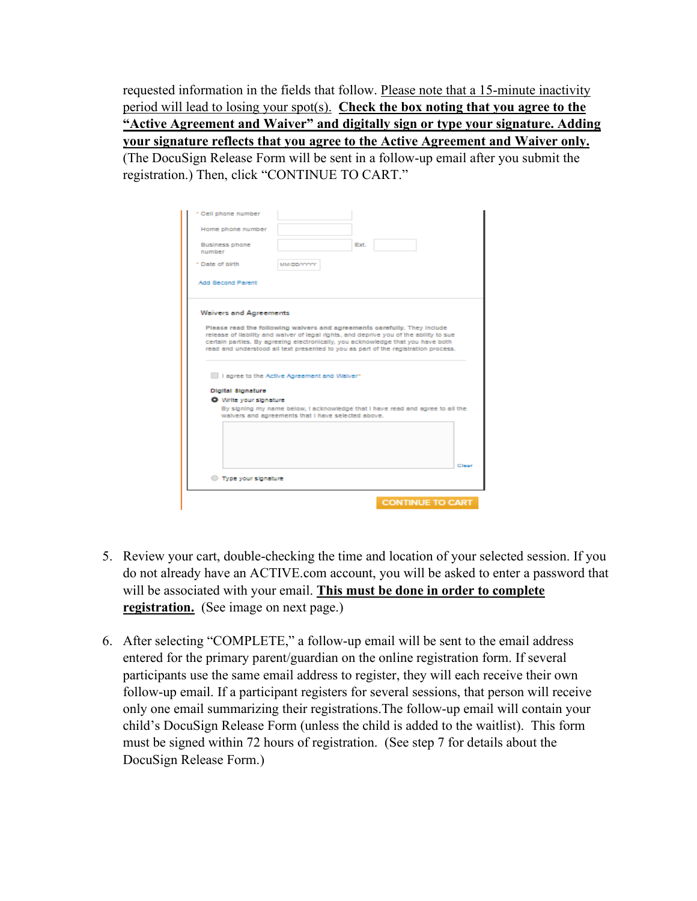requested information in the fields that follow. Please note that a 15-minute inactivity period will lead to losing your spot(s). **Check the box noting that you agree to the "Active Agreement and Waiver" and digitally sign or type your signature. Adding your signature reflects that you agree to the Active Agreement and Waiver only.** (The DocuSign Release Form will be sent in a follow-up email after you submit the registration.) Then, click "CONTINUE TO CART."

| * Cell phone number                                                                                                                                                                                                                                                                                                                                                                                                         |
|-----------------------------------------------------------------------------------------------------------------------------------------------------------------------------------------------------------------------------------------------------------------------------------------------------------------------------------------------------------------------------------------------------------------------------|
| Home phone number                                                                                                                                                                                                                                                                                                                                                                                                           |
| Ext.<br>Business phone<br>number                                                                                                                                                                                                                                                                                                                                                                                            |
| * Date of birth<br>MMIDDAYYY                                                                                                                                                                                                                                                                                                                                                                                                |
| <b>Add Second Parent</b>                                                                                                                                                                                                                                                                                                                                                                                                    |
| <b>Waivers and Agreements</b><br>Please read the following walvers and agreements carefully. They include<br>release of liability and waiver of legal rights, and deprive you of the ability to sue<br>certain parties. By agreeing electronically, you acknowledge that you have both<br>read and understood all text presented to you as part of the registration process.<br>I agree to the Active Agreement and Walver* |
| Digital Signature                                                                                                                                                                                                                                                                                                                                                                                                           |
| O Write your signature                                                                                                                                                                                                                                                                                                                                                                                                      |
| By signing my name below, I acknowledge that I have read and agree to all the<br>walvers and agreements that I have selected above.                                                                                                                                                                                                                                                                                         |
| Clear                                                                                                                                                                                                                                                                                                                                                                                                                       |
| Type your signature                                                                                                                                                                                                                                                                                                                                                                                                         |
| <b>CONTINUE TO CART</b>                                                                                                                                                                                                                                                                                                                                                                                                     |

- 5. Review your cart, double-checking the time and location of your selected session. If you do not already have an ACTIVE.com account, you will be asked to enter a password that will be associated with your email. **This must be done in order to complete registration.** (See image on next page.)
- 6. After selecting "COMPLETE," a follow-up email will be sent to the email address entered for the primary parent/guardian on the online registration form. If several participants use the same email address to register, they will each receive their own follow-up email. If a participant registers for several sessions, that person will receive only one email summarizing their registrations.The follow-up email will contain your child's DocuSign Release Form (unless the child is added to the waitlist). This form must be signed within 72 hours of registration. (See step 7 for details about the DocuSign Release Form.)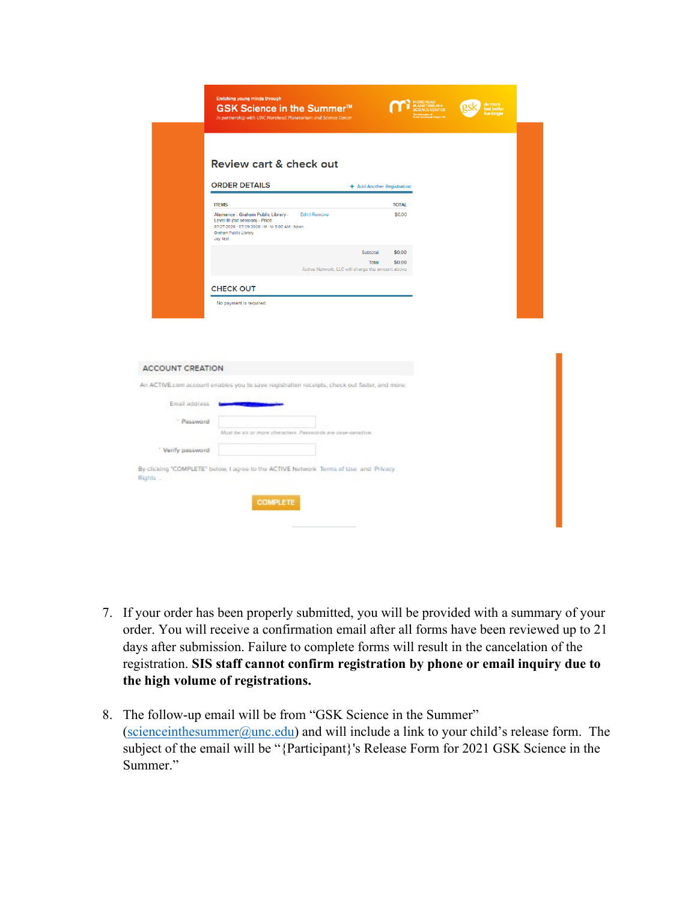|                         | Enriching young minds through                                                                                                                                                           |  |
|-------------------------|-----------------------------------------------------------------------------------------------------------------------------------------------------------------------------------------|--|
|                         | GSK Science in the Summer <sup>™</sup><br>In partnership with UNC Morehead Planetarium and Science Center                                                                               |  |
|                         |                                                                                                                                                                                         |  |
|                         |                                                                                                                                                                                         |  |
|                         | Review cart & check out                                                                                                                                                                 |  |
|                         | <b>ORDER DETAILS</b><br>+ Add Another Registration                                                                                                                                      |  |
|                         | <b>ITEMS</b><br><b>TOTAL</b>                                                                                                                                                            |  |
|                         | \$0.00<br>Alamance - Graham Public Library -<br>Edit I Remove<br>Level III (1st session) - Price<br>07/27/2020 - 07/29/2020   M - W 9:00 AM - Noon<br>Graham Public Library<br>Joy Test |  |
|                         | \$0.00<br>Subtotal<br><b>Total</b><br>\$0.00                                                                                                                                            |  |
|                         | Active Network, LLC will charge the amount above                                                                                                                                        |  |
| <b>ACCOUNT CREATION</b> |                                                                                                                                                                                         |  |
|                         | An ACTIVE.com account enables you to save registration receipts, check out faster, and more.                                                                                            |  |
| Email address           |                                                                                                                                                                                         |  |
| * Password              |                                                                                                                                                                                         |  |
|                         | Must be six ar more characters. Passagords are case-sensitive.                                                                                                                          |  |
| Verify password         |                                                                                                                                                                                         |  |
| Rights .                | By clicking "COMPLETE" below, I agree to the ACTIVE Network Terms of Lise and Privacy<br><b>COMPLETE</b>                                                                                |  |
|                         |                                                                                                                                                                                         |  |
|                         |                                                                                                                                                                                         |  |

- 7. If your order has been properly submitted, you will be provided with a summary of your order. You will receive a confirmation email after all forms have been reviewed up to 21 days after submission. Failure to complete forms will result in the cancelation of the registration. **SIS staff cannot confirm registration by phone or email inquiry due to the high volume of registrations.**
- 8. The follow-up email will be from "GSK Science in the Summer" (scienceinthesummer $@$ unc.edu) and will include a link to your child's release form. The subject of the email will be "{Participant}'s Release Form for 2021 GSK Science in the Summer."